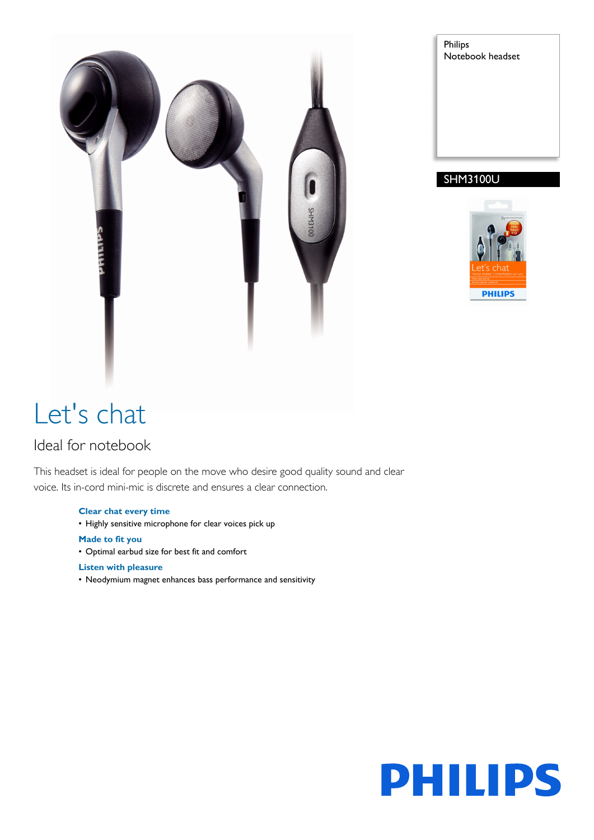



## SHM3100U



# Let's chat

# Ideal for notebook

This headset is ideal for people on the move who desire good quality sound and clear voice. Its in-cord mini-mic is discrete and ensures a clear connection.

### **Clear chat every time**

- Highly sensitive microphone for clear voices pick up
- **Made to fit you**
- Optimal earbud size for best fit and comfort

### **Listen with pleasure**

• Neodymium magnet enhances bass performance and sensitivity